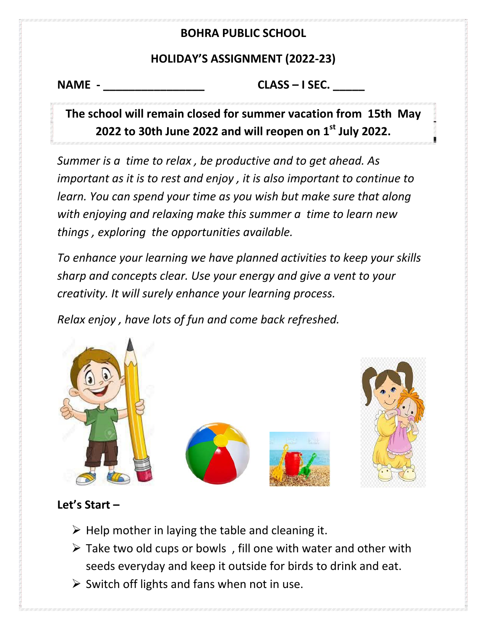#### **BOHRA PUBLIC SCHOOL**

#### **HOLIDAY'S ASSIGNMENT (2022-23)**

**NAME - \_\_\_\_\_\_\_\_\_\_\_\_\_\_\_\_ CLASS – I SEC. \_\_\_\_\_**

**The school will remain closed for summer vacation from 15th May 2022 to 30th June 2022 and will reopen on 1st July 2022.**

*Summer is a time to relax , be productive and to get ahead. As important as it is to rest and enjoy , it is also important to continue to learn. You can spend your time as you wish but make sure that along with enjoying and relaxing make this summer a time to learn new things , exploring the opportunities available.*

*To enhance your learning we have planned activities to keep your skills sharp and concepts clear. Use your energy and give a vent to your creativity. It will surely enhance your learning process.*

*Relax enjoy , have lots of fun and come back refreshed.*



#### **Let's Start –**

- $\triangleright$  Help mother in laying the table and cleaning it.
- $\triangleright$  Take two old cups or bowls, fill one with water and other with seeds everyday and keep it outside for birds to drink and eat.
- $\triangleright$  Switch off lights and fans when not in use.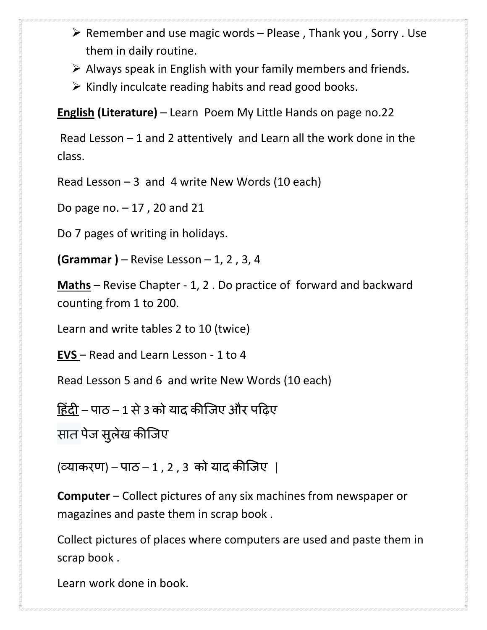- $\triangleright$  Remember and use magic words Please, Thank you, Sorry . Use them in daily routine.
- $\triangleright$  Always speak in English with your family members and friends.
- $\triangleright$  Kindly inculcate reading habits and read good books.

**English (Literature)** – Learn Poem My Little Hands on page no.22

Read Lesson – 1 and 2 attentively and Learn all the work done in the class.

Read Lesson  $-3$  and 4 write New Words (10 each)

Do page no. – 17 , 20 and 21

Do 7 pages of writing in holidays.

**(Grammar )** – Revise Lesson – 1, 2 , 3, 4

**Maths** – Revise Chapter - 1, 2 . Do practice of forward and backward counting from 1 to 200.

Learn and write tables 2 to 10 (twice)

**EVS**  – Read and Learn Lesson - 1 to 4

Read Lesson 5 and 6 and write New Words (10 each)

<u>हिंदी</u> – पाठ – 1 से 3 को याद कीजिए और पढ़िए

सात पेज सुलेख कीजिए

(व्याकरण) – पाठ – 1 , 2 , 3 को याद क�िजए |

**Computer** – Collect pictures of any six machines from newspaper or magazines and paste them in scrap book .

Collect pictures of places where computers are used and paste them in scrap book .

Learn work done in book.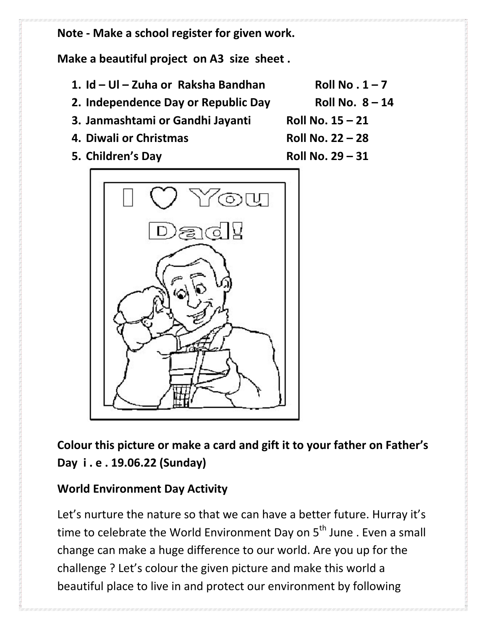**Note - Make a school register for given work.**

**Make a beautiful project on A3 size sheet .**

- 1.  $Id Ul Zuha$  or Raksha Bandhan **Roll No. 1** 7
- **2. Independence Day or Republic Day Roll No. 8 – 14**
- **3. Janmashtami or Gandhi Jayanti Roll No. 15 – 21**
- **4. Diwali or Christmas Roll No. 22 – 28**
- **5. Children's Day Roll No. 29 – 31**



**Colour this picture or make a card and gift it to your father on Father's Day i . e . 19.06.22 (Sunday)**

#### **World Environment Day Activity**

Let's nurture the nature so that we can have a better future. Hurray it's time to celebrate the World Environment Day on 5<sup>th</sup> June . Even a small change can make a huge difference to our world. Are you up for the challenge ? Let's colour the given picture and make this world a beautiful place to live in and protect our environment by following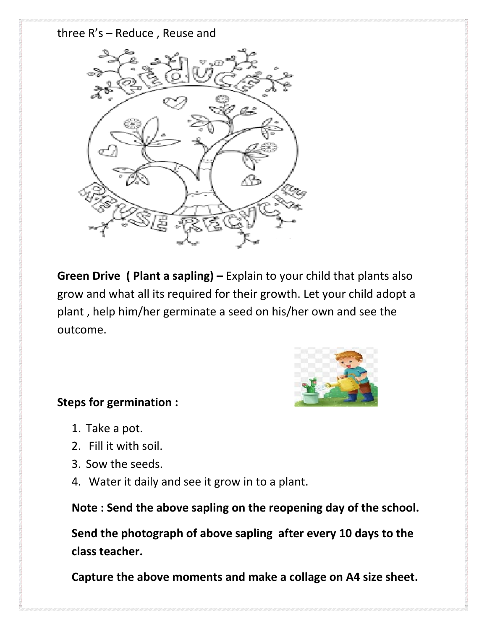#### three R's – Reduce , Reuse and



**Green Drive ( Plant a sapling) –** Explain to your child that plants also grow and what all its required for their growth. Let your child adopt a plant , help him/her germinate a seed on his/her own and see the outcome.



#### **Steps for germination :**

- 1. Take a pot.
- 2. Fill it with soil.
- 3. Sow the seeds.
- 4. Water it daily and see it grow in to a plant.

**Note : Send the above sapling on the reopening day of the school.**

**Send the photograph of above sapling after every 10 days to the class teacher.** 

 **Capture the above moments and make a collage on A4 size sheet.**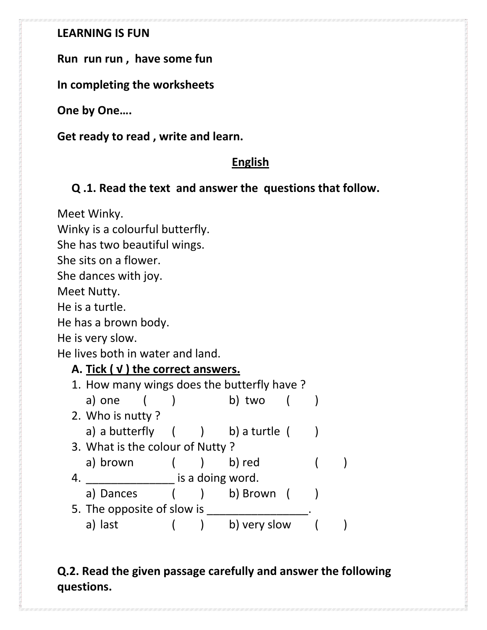#### **LEARNING IS FUN**

**Run run run , have some fun**

**In completing the worksheets**

**One by One….**

**Get ready to read , write and learn.**

## **English**

#### **Q .1. Read the text and answer the questions that follow.**

Meet Winky.

Winky is a colourful butterfly.

She has two beautiful wings.

She sits on a flower.

She dances with joy.

Meet Nutty.

He is a turtle.

He has a brown body.

He is very slow.

He lives both in water and land.

#### **A. Tick ( √ ) the correct answers.**

|    |                                 | 1. How many wings does the butterfly have? |  |                   |  |  |  |
|----|---------------------------------|--------------------------------------------|--|-------------------|--|--|--|
|    | a) one                          |                                            |  | b) two            |  |  |  |
|    | 2. Who is nutty?                |                                            |  |                   |  |  |  |
|    | a) a butterfly                  |                                            |  | ( ) b) a turtle ( |  |  |  |
|    | 3. What is the colour of Nutty? |                                            |  |                   |  |  |  |
|    | a) brown                        |                                            |  | b) red            |  |  |  |
| 4. |                                 |                                            |  | is a doing word.  |  |  |  |
|    | a) Dances                       |                                            |  | ) b) Brown        |  |  |  |
|    | 5. The opposite of slow is      |                                            |  |                   |  |  |  |
|    | last<br>a)                      |                                            |  | b) very slow      |  |  |  |
|    |                                 |                                            |  |                   |  |  |  |

# **Q.2. Read the given passage carefully and answer the following questions.**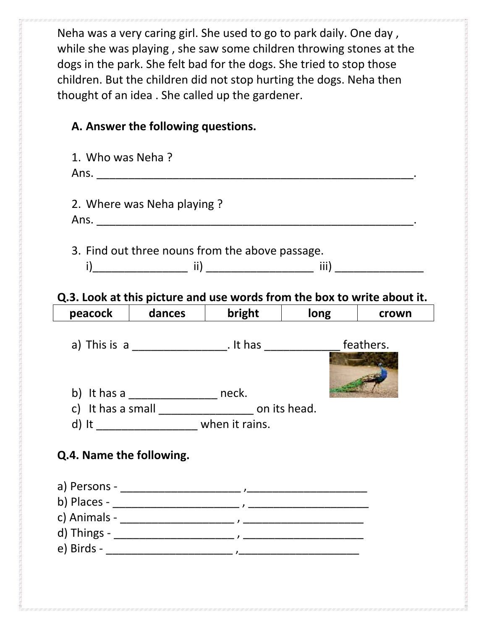Neha was a very caring girl. She used to go to park daily. One day , while she was playing , she saw some children throwing stones at the dogs in the park. She felt bad for the dogs. She tried to stop those children. But the children did not stop hurting the dogs. Neha then thought of an idea . She called up the gardener.

# **A. Answer the following questions.**

| 1. Who was Neha?                                                                                           |                                              |                                                       |                                                                         |  |
|------------------------------------------------------------------------------------------------------------|----------------------------------------------|-------------------------------------------------------|-------------------------------------------------------------------------|--|
|                                                                                                            | 2. Where was Neha playing?                   |                                                       |                                                                         |  |
|                                                                                                            |                                              | 3. Find out three nouns from the above passage.       |                                                                         |  |
|                                                                                                            |                                              |                                                       | Q.3. Look at this picture and use words from the box to write about it. |  |
|                                                                                                            |                                              |                                                       | peacock dances bright dong crown                                        |  |
|                                                                                                            | b) It has a _____________________ neck.      |                                                       | a) This is a ___________________. It has __________________ feathers.   |  |
|                                                                                                            |                                              | c) It has a small ______________________ on its head. |                                                                         |  |
|                                                                                                            | d) It _______________________ when it rains. |                                                       |                                                                         |  |
| Q.4. Name the following.<br>c) Animals - _______________________<br>d) Things - __________________________ |                                              |                                                       |                                                                         |  |
|                                                                                                            |                                              |                                                       |                                                                         |  |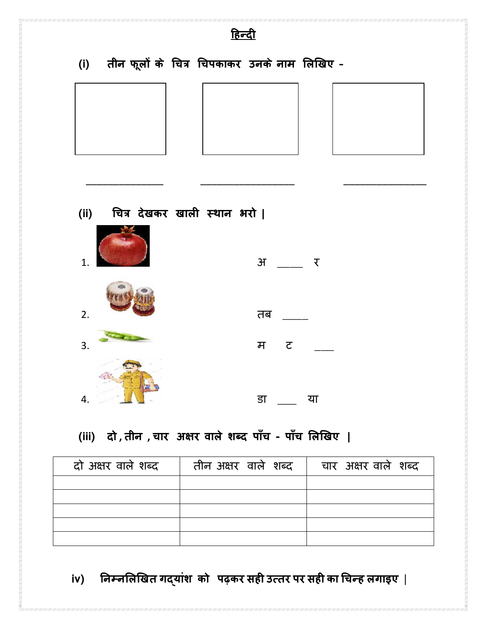| <u> हिन्दी</u>   |  |                                                 |  |  |  |  |  |
|------------------|--|-------------------------------------------------|--|--|--|--|--|
|                  |  | (i) तीन फूलों के चित्र चिपकाकर उनके नाम लिखिए - |  |  |  |  |  |
|                  |  |                                                 |  |  |  |  |  |
|                  |  |                                                 |  |  |  |  |  |
|                  |  |                                                 |  |  |  |  |  |
|                  |  |                                                 |  |  |  |  |  |
|                  |  | (ii) चित्र देखकर खाली स्थान भरो                 |  |  |  |  |  |
| $\overline{1}$ . |  | $H \longrightarrow V$                           |  |  |  |  |  |
| 2.               |  | तब                                              |  |  |  |  |  |
| $\overline{3}$ . |  | मट                                              |  |  |  |  |  |
| 4.               |  | डा<br>या                                        |  |  |  |  |  |

# (iii) दो, तीन, चार अक्षर वाले शब्द पाँच - पाँच लिखिए |

| दो अक्षर वाले शब्द | तीन अक्षर वाले शब्द | चार अक्षर वाले शब्द |
|--------------------|---------------------|---------------------|
|                    |                     |                     |
|                    |                     |                     |
|                    |                     |                     |
|                    |                     |                     |
|                    |                     |                     |

iv) निम्नलिखित गद्यांश को पढ़कर सही उत्तर पर सही का चिन्ह लगाइए |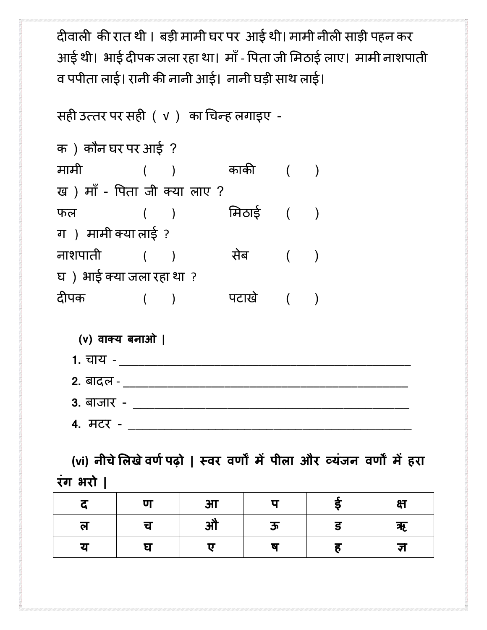दीवाली की रात थी। बड़ी मामी घर पर आई थी। मामी नीली साड़ी पहन कर आई थी। भाई दीपक जला रहा था। माँ - पिता जी मिठाई लाए। मामी नाशपाती व पपीता लाई। रानी क� नानी आई। नानी घड़ी साथ लाई।

सह� उत्तर पर सह� ( √ ) का �चन्ह लगाइए -

क ) कौन घर पर आई ? मामी ( ) काक� ( ) ख ) माँ- �पता जी क्या लाए ? फल ( ) �मठाई ( ) ग ) मामी क्या लाई ? नाशपाती ( ) सेब ( ) घ ) भाई क्या जला रहा था ? द�पक ( ) पटाखे ( )

#### **(v) वाक्य बनाओ |**

- **1.** चाय \_\_\_\_\_\_\_\_\_\_\_\_\_\_\_\_\_\_\_\_\_\_\_\_\_\_\_\_\_\_\_\_\_\_\_\_\_\_\_\_\_\_\_\_\_\_
- **2.** बादल \_\_\_\_\_\_\_\_\_\_\_\_\_\_\_\_\_\_\_\_\_\_\_\_\_\_\_\_\_\_\_\_\_\_\_\_\_\_\_\_\_\_\_\_\_
- **3.** बाजार \_\_\_\_\_\_\_\_\_\_\_\_\_\_\_\_\_\_\_\_\_\_\_\_\_\_\_\_\_\_\_\_\_\_\_\_\_\_
- **4.** मटर \_\_\_\_\_\_\_\_\_\_\_\_\_\_\_\_\_\_\_\_\_\_\_\_\_\_\_\_\_\_\_\_\_\_\_\_\_\_\_

 **(vi) नीचे�लखेवणर्पढ़ो | स्वर वण� म�पीला और व्यंजन वण� म�हरा रंग भरो |**

|   | ण | 3 <sub>1</sub> |   | क्ष |
|---|---|----------------|---|-----|
| ल | च | औ              | ऊ | ऋ   |
| य |   |                |   | रा  |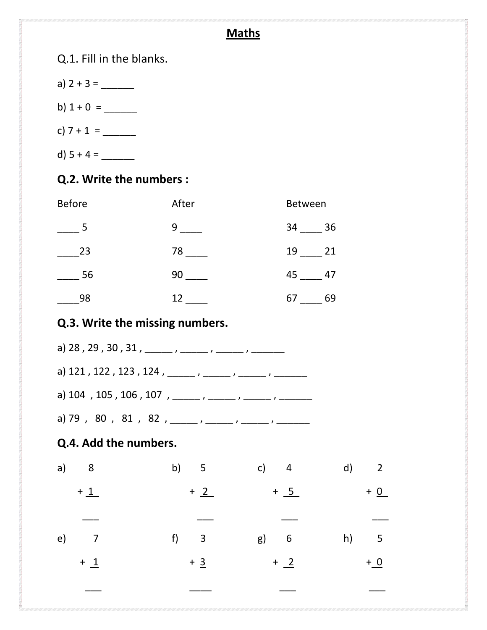# **Maths**

Q.1. Fill in the blanks. a) 2 + 3 = \_\_\_\_\_\_ b) 1 + 0 = \_\_\_\_\_\_ c) 7 + 1 = \_\_\_\_\_\_ d) 5 + 4 = \_\_\_\_\_\_

# **Q.2. Write the numbers :**

| <b>Before</b> | After | <b>Between</b> |
|---------------|-------|----------------|
| 5             | 9     | - 36<br>34     |
| 23            | 78    | 19<br>21       |
| 56            | 90    | 45<br>47       |
| 98            | 12    | 67<br>69       |

# **Q.3. Write the missing numbers.**

|                       | a) 28, 29, 30, 31, _____, ____, ____, ____,             |                |       |
|-----------------------|---------------------------------------------------------|----------------|-------|
|                       | a) 121, 122, 123, 124, _____, ____, ____, ____,         |                |       |
|                       | a) 104, 105, 106, 107, _____, _____, _____, _____,      |                |       |
|                       | a) 79 , 80 , 81 , 82 , _____ , _____ , _____ , ______ , |                |       |
| Q.4. Add the numbers. |                                                         |                |       |
| $a)$ 8                |                                                         | b) 5 c) 4 d) 2 |       |
| $+1$                  | $+2$                                                    | $+ 5$          | $+$ 0 |
|                       |                                                         |                |       |
| $e)$ 7                | f) $\overline{3}$                                       | $g$ ) 6        | h) 5  |
| $+1$                  | $+3$                                                    | $+2$           | $+ 0$ |
|                       |                                                         |                |       |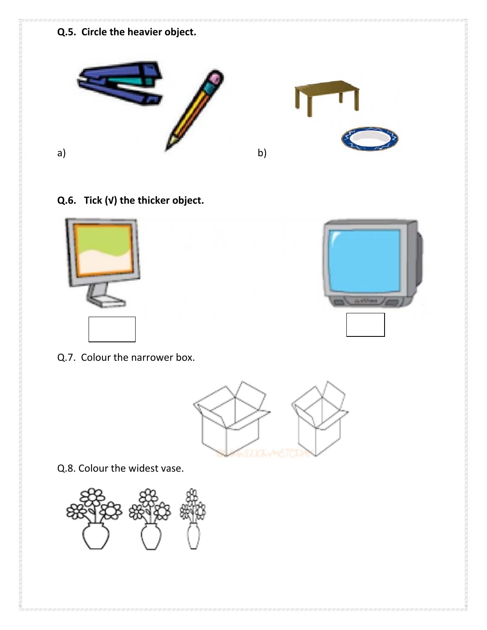### **Q.5. Circle the heavier object.**



**Q.6. Tick (√) the thicker object.**



Q.7. Colour the narrower box.



Q.8. Colour the widest vase.



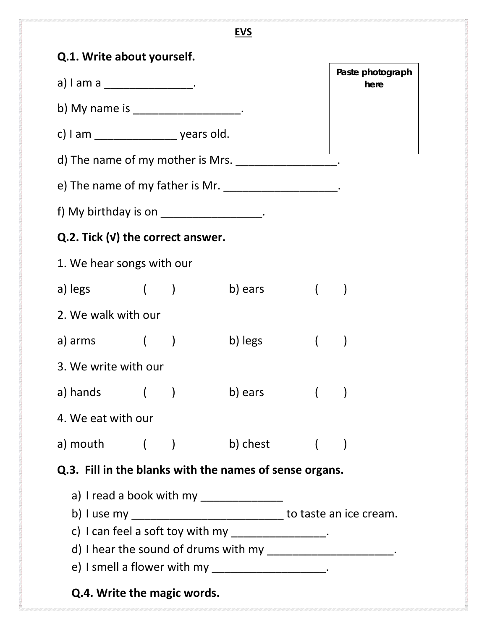| <b>EVS</b>                                                                                                                                                                                                                                                                                                                                                                                                                                                                                                                         |  |  |           |            |                          |  |  |
|------------------------------------------------------------------------------------------------------------------------------------------------------------------------------------------------------------------------------------------------------------------------------------------------------------------------------------------------------------------------------------------------------------------------------------------------------------------------------------------------------------------------------------|--|--|-----------|------------|--------------------------|--|--|
| Q.1. Write about yourself.                                                                                                                                                                                                                                                                                                                                                                                                                                                                                                         |  |  |           |            |                          |  |  |
| a) I am a ___________________.                                                                                                                                                                                                                                                                                                                                                                                                                                                                                                     |  |  |           |            | Paste photograph<br>here |  |  |
| b) My name is ____________________.                                                                                                                                                                                                                                                                                                                                                                                                                                                                                                |  |  |           |            |                          |  |  |
| c) I am ____________________ years old.                                                                                                                                                                                                                                                                                                                                                                                                                                                                                            |  |  |           |            |                          |  |  |
| d) The name of my mother is Mrs. $\frac{1}{2}$ meson the name of my mother is Mrs.                                                                                                                                                                                                                                                                                                                                                                                                                                                 |  |  |           |            |                          |  |  |
| e) The name of my father is Mr. ____________________.                                                                                                                                                                                                                                                                                                                                                                                                                                                                              |  |  |           |            |                          |  |  |
| f) My birthday is on $\frac{1}{2}$ metal $\frac{1}{2}$ metal $\frac{1}{2}$ .                                                                                                                                                                                                                                                                                                                                                                                                                                                       |  |  |           |            |                          |  |  |
| $Q.2.$ Tick $(V)$ the correct answer.                                                                                                                                                                                                                                                                                                                                                                                                                                                                                              |  |  |           |            |                          |  |  |
| 1. We hear songs with our                                                                                                                                                                                                                                                                                                                                                                                                                                                                                                          |  |  |           |            |                          |  |  |
| a) legs ( )                                                                                                                                                                                                                                                                                                                                                                                                                                                                                                                        |  |  | b) ears   | $($ $)$    |                          |  |  |
| 2. We walk with our                                                                                                                                                                                                                                                                                                                                                                                                                                                                                                                |  |  |           |            |                          |  |  |
| a) arms $($                                                                                                                                                                                                                                                                                                                                                                                                                                                                                                                        |  |  | b) legs   | $\sqrt{2}$ |                          |  |  |
| 3. We write with our                                                                                                                                                                                                                                                                                                                                                                                                                                                                                                               |  |  |           |            |                          |  |  |
| a) hands $($                                                                                                                                                                                                                                                                                                                                                                                                                                                                                                                       |  |  | b) ears ( |            |                          |  |  |
| 4. We eat with our                                                                                                                                                                                                                                                                                                                                                                                                                                                                                                                 |  |  |           |            |                          |  |  |
| a) mouth $($ ) b) chest $($ )                                                                                                                                                                                                                                                                                                                                                                                                                                                                                                      |  |  |           |            |                          |  |  |
| Q.3. Fill in the blanks with the names of sense organs.                                                                                                                                                                                                                                                                                                                                                                                                                                                                            |  |  |           |            |                          |  |  |
| a) I read a book with my _______________<br>b) I use my $\frac{1}{\sqrt{2}}$ to taste an ice cream.<br>c) I can feel a soft toy with my $\frac{1}{2}$ $\frac{1}{2}$ $\frac{1}{2}$ $\frac{1}{2}$ $\frac{1}{2}$ $\frac{1}{2}$<br>d) I hear the sound of drums with my $\frac{1}{1}$ measurement of the sound of drums with my $\frac{1}{1}$ measurement of the sound of drums with my $\frac{1}{1}$ measurement of the sound of drums with my $\frac{1}{1}$ measurement of the<br>e) I smell a flower with my _____________________. |  |  |           |            |                          |  |  |
| Q.4. Write the magic words.                                                                                                                                                                                                                                                                                                                                                                                                                                                                                                        |  |  |           |            |                          |  |  |